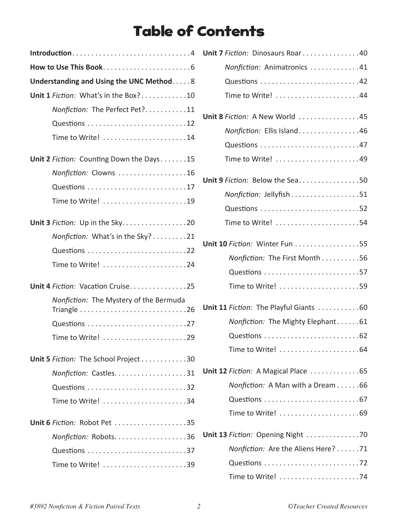## Table of Contents

| Introduction4                                                                |  |  |  |
|------------------------------------------------------------------------------|--|--|--|
|                                                                              |  |  |  |
| Understanding and Using the UNC Method. 8                                    |  |  |  |
| Unit 1 Fiction: What's in the Box?10                                         |  |  |  |
| Nonfiction: The Perfect Pet?11                                               |  |  |  |
|                                                                              |  |  |  |
| Time to Write! 14                                                            |  |  |  |
| Unit 2 Fiction: Counting Down the Days15                                     |  |  |  |
| Nonfiction: Clowns 16                                                        |  |  |  |
|                                                                              |  |  |  |
|                                                                              |  |  |  |
| Unit 3 Fiction: Up in the Sky. 20                                            |  |  |  |
| Nonfiction: What's in the Sky? 21                                            |  |  |  |
|                                                                              |  |  |  |
|                                                                              |  |  |  |
| Unit 4 Fiction: Vacation Cruise25                                            |  |  |  |
| Nonfiction: The Mystery of the Bermuda                                       |  |  |  |
| Triangle $\ldots \ldots \ldots \ldots \ldots \ldots \ldots \ldots \ldots 26$ |  |  |  |
|                                                                              |  |  |  |
|                                                                              |  |  |  |
| Unit 5 Fiction: The School Project 30                                        |  |  |  |
| Nonfiction: Castles31                                                        |  |  |  |
|                                                                              |  |  |  |
|                                                                              |  |  |  |
| <b>Unit 6 Fiction: Robot Pet 35</b>                                          |  |  |  |
| Nonfiction: Robots36                                                         |  |  |  |
|                                                                              |  |  |  |
|                                                                              |  |  |  |

| Unit 7 Fiction: Dinosaurs Roar40       |
|----------------------------------------|
| Nonfiction: Animatronics 41            |
|                                        |
| Time to Write! 44                      |
| Unit 8 Fiction: A New World 45         |
| Nonfiction: Ellis Island46             |
| Questions 47                           |
| Time to Write! 49                      |
| Unit 9 Fiction: Below the Sea50        |
| Nonfiction: Jellyfish 51               |
|                                        |
| Time to Write! 54                      |
| Unit 10 Fiction: Winter Fun 55         |
| Nonfiction: The First Month 56         |
|                                        |
| Time to Write! 59                      |
| Unit 11 Fiction: The Playful Giants 60 |
| Nonfiction: The Mighty Elephant 61     |
|                                        |
| Time to Write! 64                      |
| Unit 12 Fiction: A Magical Place 65    |
| Nonfiction: A Man with a Dream 66      |
|                                        |
| Time to Write! 69                      |
| Unit 13 Fiction: Opening Night 70      |
| Nonfiction: Are the Aliens Here? 71    |
|                                        |
|                                        |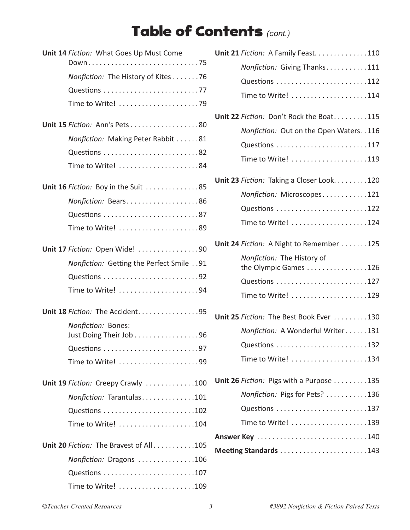## Table of Contents *(cont.)*

| Unit 14 Fiction: What Goes Up Must Come  |
|------------------------------------------|
|                                          |
| Nonfiction: The History of Kites 76      |
|                                          |
| Time to Write! 79                        |
| Unit 15 Fiction: Ann's Pets 80           |
| Nonfiction: Making Peter Rabbit 81       |
|                                          |
| Time to Write! 84                        |
| Unit 16 Fiction: Boy in the Suit 85      |
| Nonfiction: Bears86                      |
|                                          |
|                                          |
| Unit 17 Fiction: Open Wide! 90           |
| Nonfiction: Getting the Perfect Smile 91 |
|                                          |
|                                          |
| Unit 18 Fiction: The Accident95          |
| Nonfiction: Bones:                       |
| Just Doing Their Job 96                  |
|                                          |
| Time to Write! 99                        |
| Unit 19 Fiction: Creepy Crawly 100       |
| Nonfiction: Tarantulas101                |
|                                          |
| Time to Write! 104                       |
| Unit 20 Fiction: The Bravest of All105   |
| Nonfiction: Dragons 106                  |
|                                          |
|                                          |

| Unit 21 Fiction: A Family Feast. 110                |
|-----------------------------------------------------|
| Nonfiction: Giving Thanks111                        |
|                                                     |
|                                                     |
| Unit 22 Fiction: Don't Rock the Boat115             |
| Nonfiction: Out on the Open Waters. . 116           |
|                                                     |
| Time to Write! 119                                  |
| Unit 23 Fiction: Taking a Closer Look. 120          |
| Nonfiction: Microscopes121                          |
|                                                     |
| Time to Write! 124                                  |
| <b>Unit 24</b> Fiction: A Night to Remember 125     |
| Nonfiction: The History of<br>the Olympic Games 126 |
|                                                     |
|                                                     |
| Unit 25 Fiction: The Best Book Ever 130             |
| Nonfiction: A Wonderful Writer131                   |
|                                                     |
| Time to Write! 134                                  |
| Unit 26 Fiction: Pigs with a Purpose 135            |
| Nonfiction: Pigs for Pets? 136                      |
|                                                     |
| Time to Write! 139                                  |
|                                                     |
| Meeting Standards 143                               |
|                                                     |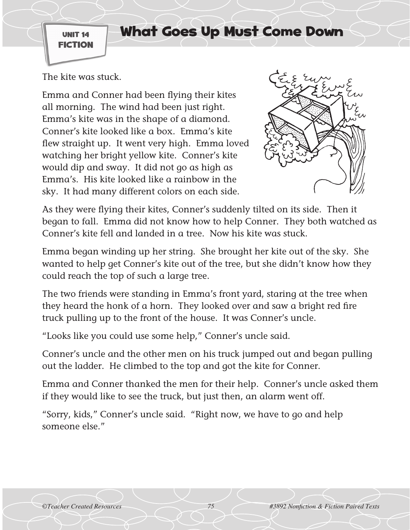UNIT 14 FICTION

## What Goes Up Must Come Down

The kite was stuck.

Emma and Conner had been flying their kites all morning. The wind had been just right. Emma's kite was in the shape of a diamond. Conner's kite looked like a box. Emma's kite flew straight up. It went very high. Emma loved watching her bright yellow kite. Conner's kite would dip and sway. It did not go as high as Emma's. His kite looked like a rainbow in the sky. It had many different colors on each side.



As they were flying their kites, Conner's suddenly tilted on its side. Then it began to fall. Emma did not know how to help Conner. They both watched as Conner's kite fell and landed in a tree. Now his kite was stuck.

Emma began winding up her string. She brought her kite out of the sky. She wanted to help get Conner's kite out of the tree, but she didn't know how they could reach the top of such a large tree.

The two friends were standing in Emma's front yard, staring at the tree when they heard the honk of a horn. They looked over and saw a bright red fire truck pulling up to the front of the house. It was Conner's uncle.

"Looks like you could use some help," Conner's uncle said.

Conner's uncle and the other men on his truck jumped out and began pulling out the ladder. He climbed to the top and got the kite for Conner.

Emma and Conner thanked the men for their help. Conner's uncle asked them if they would like to see the truck, but just then, an alarm went off.

"Sorry, kids," Conner's uncle said. "Right now, we have to go and help someone else."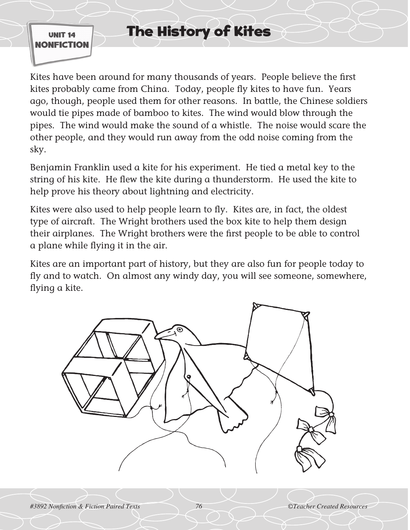UNIT 14 NONFICTION

## The History of Kites

Kites have been around for many thousands of years. People believe the first kites probably came from China. Today, people fly kites to have fun. Years ago, though, people used them for other reasons. In battle, the Chinese soldiers would tie pipes made of bamboo to kites. The wind would blow through the pipes. The wind would make the sound of a whistle. The noise would scare the other people, and they would run away from the odd noise coming from the sky.

Benjamin Franklin used a kite for his experiment. He tied a metal key to the string of his kite. He flew the kite during a thunderstorm. He used the kite to help prove his theory about lightning and electricity.

Kites were also used to help people learn to fly. Kites are, in fact, the oldest type of aircraft. The Wright brothers used the box kite to help them design their airplanes. The Wright brothers were the first people to be able to control a plane while flying it in the air.

Kites are an important part of history, but they are also fun for people today to fly and to watch. On almost any windy day, you will see someone, somewhere, flying a kite.

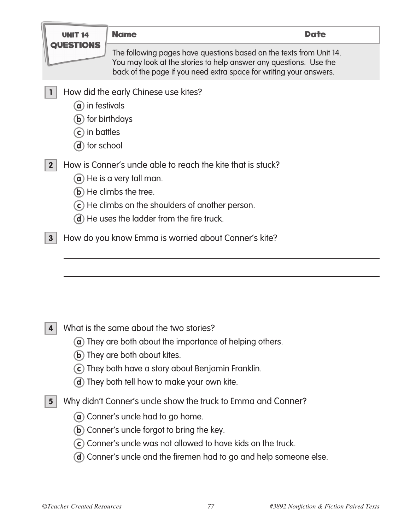|                         | UNIT 14                                                                                  | <b>Name</b>                                                                                                                                                                                                                                                                                 | <b>Date</b> |
|-------------------------|------------------------------------------------------------------------------------------|---------------------------------------------------------------------------------------------------------------------------------------------------------------------------------------------------------------------------------------------------------------------------------------------|-------------|
| OUESI                   |                                                                                          | The following pages have questions based on the texts from Unit 14.<br>You may look at the stories to help answer any questions. Use the<br>back of the page if you need extra space for writing your answers.                                                                              |             |
|                         | $\alpha$ ) in festivals<br><b>b</b> ) for birthdays<br>$(c)$ in battles<br>d) for school | How did the early Chinese use kites?                                                                                                                                                                                                                                                        |             |
| $\mathbf{2}$            |                                                                                          | How is Conner's uncle able to reach the kite that is stuck?<br>$\alpha$ ) He is a very tall man.<br>b) He climbs the tree.<br>$(c)$ He climbs on the shoulders of another person.<br>(d) He uses the ladder from the fire truck.                                                            |             |
| 3 <sup>5</sup>          |                                                                                          | How do you know Emma is worried about Conner's kite?                                                                                                                                                                                                                                        |             |
|                         |                                                                                          | What is the same about the two stories?<br>$\alpha$ ) They are both about the importance of helping others.<br><b>b</b> ) They are both about kites.<br>c) They both have a story about Benjamin Franklin.<br><b>d</b> ) They both tell how to make your own kite.                          |             |
| $\overline{\mathbf{5}}$ | $\mathbf{b}$                                                                             | Why didn't Conner's uncle show the truck to Emma and Conner?<br><b>a</b> ) Conner's uncle had to go home.<br>Conner's uncle forgot to bring the key.<br>c) Conner's uncle was not allowed to have kids on the truck.<br>(d) Conner's uncle and the firemen had to go and help someone else. |             |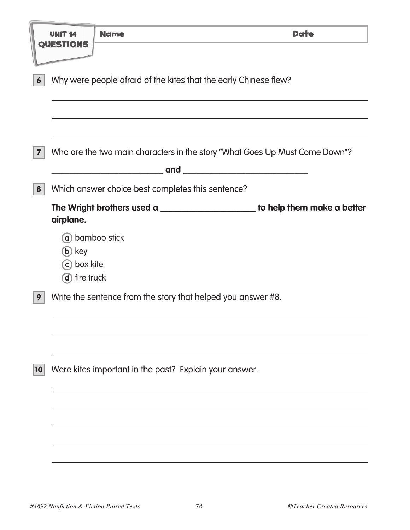|                  |                                                                  | <b>Name</b>                                                  | <b>Date</b>                                                                    |  |  |  |  |
|------------------|------------------------------------------------------------------|--------------------------------------------------------------|--------------------------------------------------------------------------------|--|--|--|--|
|                  | <b>QUESTIONS</b>                                                 |                                                              |                                                                                |  |  |  |  |
| $\boldsymbol{6}$ | Why were people afraid of the kites that the early Chinese flew? |                                                              |                                                                                |  |  |  |  |
| $\boldsymbol{7}$ |                                                                  |                                                              | Who are the two main characters in the story "What Goes Up Must Come Down"?    |  |  |  |  |
|                  |                                                                  |                                                              |                                                                                |  |  |  |  |
| 8                |                                                                  | Which answer choice best completes this sentence?            |                                                                                |  |  |  |  |
|                  | airplane.                                                        |                                                              | The Wright brothers used a ________________________ to help them make a better |  |  |  |  |
|                  | a) bamboo stick<br>$(b)$ key<br>c) box kite<br>d) fire truck     |                                                              |                                                                                |  |  |  |  |
| 9                |                                                                  | Write the sentence from the story that helped you answer #8. |                                                                                |  |  |  |  |
| 10               |                                                                  | Were kites important in the past? Explain your answer.       |                                                                                |  |  |  |  |
|                  |                                                                  |                                                              |                                                                                |  |  |  |  |
|                  |                                                                  |                                                              |                                                                                |  |  |  |  |